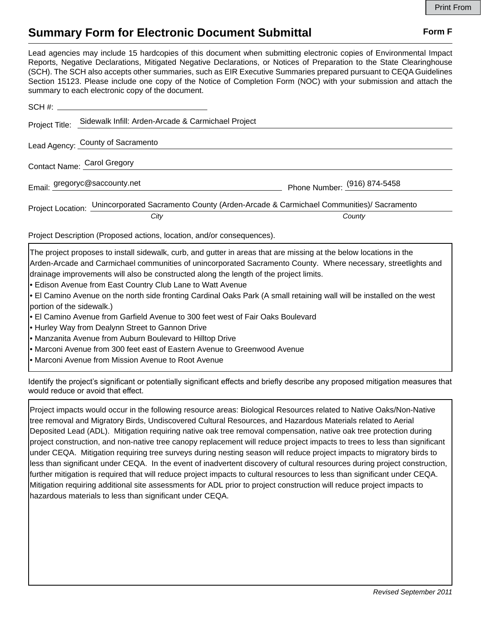## **Summary Form for Electronic Document Submittal Form F Form F**

Lead agencies may include 15 hardcopies of this document when submitting electronic copies of Environmental Impact Reports, Negative Declarations, Mitigated Negative Declarations, or Notices of Preparation to the State Clearinghouse (SCH). The SCH also accepts other summaries, such as EIR Executive Summaries prepared pursuant to CEQA Guidelines Section 15123. Please include one copy of the Notice of Completion Form (NOC) with your submission and attach the summary to each electronic copy of the document.

| Project Title:              | Sidewalk Infill: Arden-Arcade & Carmichael Project                                                     |                              |
|-----------------------------|--------------------------------------------------------------------------------------------------------|------------------------------|
|                             | Lead Agency: County of Sacramento                                                                      |                              |
| Contact Name: Carol Gregory |                                                                                                        |                              |
|                             | Email: gregoryc@saccounty.net                                                                          | Phone Number: (916) 874-5458 |
|                             | Project Location: Unincorporated Sacramento County (Arden-Arcade & Carmichael Communities)/ Sacramento |                              |
|                             | City                                                                                                   | County                       |

Project Description (Proposed actions, location, and/or consequences).

The project proposes to install sidewalk, curb, and gutter in areas that are missing at the below locations in the Arden-Arcade and Carmichael communities of unincorporated Sacramento County. Where necessary, streetlights and drainage improvements will also be constructed along the length of the project limits.

• Edison Avenue from East Country Club Lane to Watt Avenue

- El Camino Avenue on the north side fronting Cardinal Oaks Park (A small retaining wall will be installed on the west portion of the sidewalk.)
- El Camino Avenue from Garfield Avenue to 300 feet west of Fair Oaks Boulevard
- Hurley Way from Dealynn Street to Gannon Drive
- Manzanita Avenue from Auburn Boulevard to Hilltop Drive
- Marconi Avenue from 300 feet east of Eastern Avenue to Greenwood Avenue
- Marconi Avenue from Mission Avenue to Root Avenue

Identify the project's significant or potentially significant effects and briefly describe any proposed mitigation measures that would reduce or avoid that effect.

Project impacts would occur in the following resource areas: Biological Resources related to Native Oaks/Non-Native tree removal and Migratory Birds, Undiscovered Cultural Resources, and Hazardous Materials related to Aerial Deposited Lead (ADL). Mitigation requiring native oak tree removal compensation, native oak tree protection during project construction, and non-native tree canopy replacement will reduce project impacts to trees to less than significant under CEQA. Mitigation requiring tree surveys during nesting season will reduce project impacts to migratory birds to less than significant under CEQA. In the event of inadvertent discovery of cultural resources during project construction, further mitigation is required that will reduce project impacts to cultural resources to less than significant under CEQA. Mitigation requiring additional site assessments for ADL prior to project construction will reduce project impacts to hazardous materials to less than significant under CEQA.